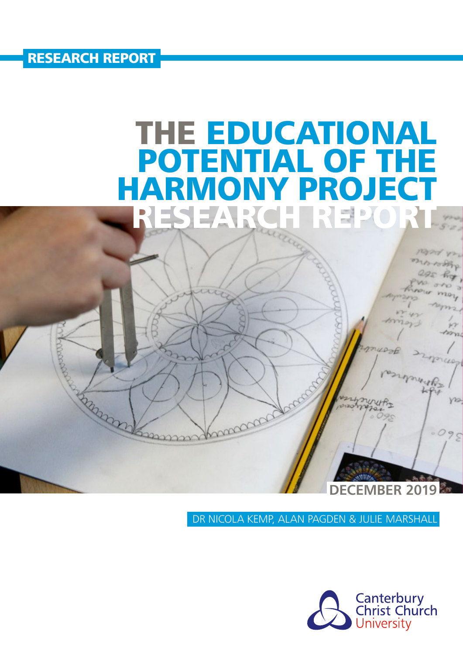RESEARCH REPORT

**RAMARY** 

# THE EDUCATIONAL POTENTIAL OF THE<br>HARMONY PROJECT NY PROJECT<br>Reference RESEAR

manage

**DECEMBER 2019** 

DR NICOLA KEMP, ALAN PAGDEN & JULIE MARSHALL

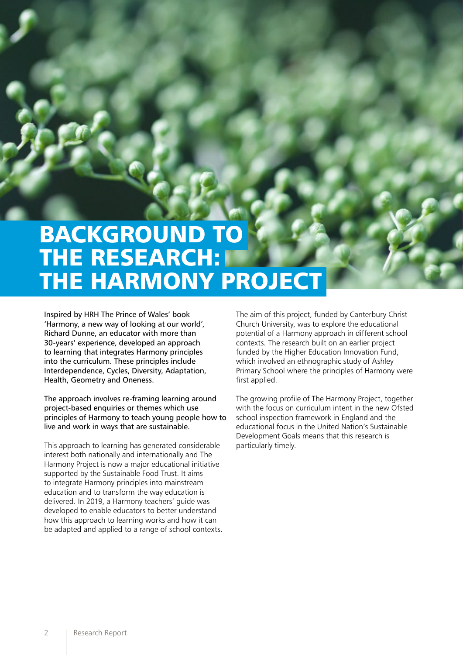# BACKGROUND TO THE RESEARCH: THE HARMONY PROJECT

Inspired by HRH The Prince of Wales' book 'Harmony, a new way of looking at our world', Richard Dunne, an educator with more than 30-years' experience, developed an approach to learning that integrates Harmony principles into the curriculum. These principles include Interdependence, Cycles, Diversity, Adaptation, Health, Geometry and Oneness.

The approach involves re-framing learning around project-based enquiries or themes which use principles of Harmony to teach young people how to live and work in ways that are sustainable.

This approach to learning has generated considerable interest both nationally and internationally and The Harmony Project is now a major educational initiative supported by the Sustainable Food Trust. It aims to integrate Harmony principles into mainstream education and to transform the way education is delivered. In 2019, a Harmony teachers' guide was developed to enable educators to better understand how this approach to learning works and how it can be adapted and applied to a range of school contexts. The aim of this project, funded by Canterbury Christ Church University, was to explore the educational potential of a Harmony approach in different school contexts. The research built on an earlier project funded by the Higher Education Innovation Fund, which involved an ethnographic study of Ashley Primary School where the principles of Harmony were first applied.

The growing profile of The Harmony Project, together with the focus on curriculum intent in the new Ofsted school inspection framework in England and the educational focus in the United Nation's Sustainable Development Goals means that this research is particularly timely.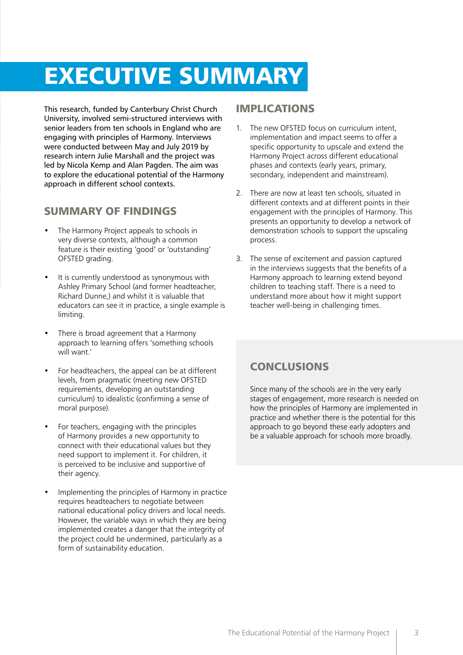## EXECUTIVE SUMMARY

This research, funded by Canterbury Christ Church University, involved semi-structured interviews with senior leaders from ten schools in England who are engaging with principles of Harmony. Interviews were conducted between May and July 2019 by research intern Julie Marshall and the project was led by Nicola Kemp and Alan Pagden. The aim was to explore the educational potential of the Harmony approach in different school contexts.

### SUMMARY OF FINDINGS

- The Harmony Project appeals to schools in very diverse contexts, although a common feature is their existing 'good' or 'outstanding' OFSTED grading.
- It is currently understood as synonymous with Ashley Primary School (and former headteacher, Richard Dunne,) and whilst it is valuable that educators can see it in practice, a single example is limiting.
- There is broad agreement that a Harmony approach to learning offers 'something schools will want.'
- For headteachers, the appeal can be at different levels, from pragmatic (meeting new OFSTED requirements, developing an outstanding curriculum) to idealistic (confirming a sense of moral purpose).
- For teachers, engaging with the principles of Harmony provides a new opportunity to connect with their educational values but they need support to implement it. For children, it is perceived to be inclusive and supportive of their agency.
- Implementing the principles of Harmony in practice requires headteachers to negotiate between national educational policy drivers and local needs. However, the variable ways in which they are being implemented creates a danger that the integrity of the project could be undermined, particularly as a form of sustainability education.

### IMPLICATIONS

- 1. The new OFSTED focus on curriculum intent, implementation and impact seems to offer a specific opportunity to upscale and extend the Harmony Project across different educational phases and contexts (early years, primary, secondary, independent and mainstream).
- 2. There are now at least ten schools, situated in different contexts and at different points in their engagement with the principles of Harmony. This presents an opportunity to develop a network of demonstration schools to support the upscaling process.
- 3. The sense of excitement and passion captured in the interviews suggests that the benefits of a Harmony approach to learning extend beyond children to teaching staff. There is a need to understand more about how it might support teacher well-being in challenging times.

## CONCLUSIONS

Since many of the schools are in the very early stages of engagement, more research is needed on how the principles of Harmony are implemented in practice and whether there is the potential for this approach to go beyond these early adopters and be a valuable approach for schools more broadly.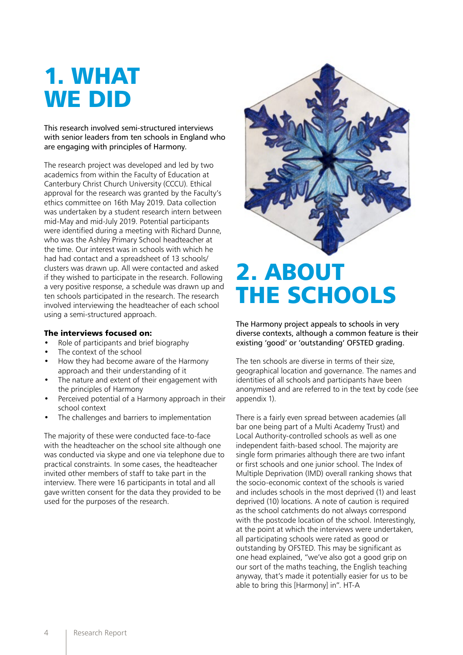## 1. WHAT WE DID

This research involved semi-structured interviews with senior leaders from ten schools in England who are engaging with principles of Harmony.

The research project was developed and led by two academics from within the Faculty of Education at Canterbury Christ Church University (CCCU). Ethical approval for the research was granted by the Faculty's ethics committee on 16th May 2019. Data collection was undertaken by a student research intern between mid-May and mid-July 2019. Potential participants were identified during a meeting with Richard Dunne, who was the Ashley Primary School headteacher at the time. Our interest was in schools with which he had had contact and a spreadsheet of 13 schools/ clusters was drawn up. All were contacted and asked if they wished to participate in the research. Following a very positive response, a schedule was drawn up and ten schools participated in the research. The research involved interviewing the headteacher of each school using a semi-structured approach.

#### The interviews focused on:

- Role of participants and brief biography
- The context of the school
- How they had become aware of the Harmony approach and their understanding of it
- The nature and extent of their engagement with the principles of Harmony
- Perceived potential of a Harmony approach in their school context
- The challenges and barriers to implementation

The majority of these were conducted face-to-face with the headteacher on the school site although one was conducted via skype and one via telephone due to practical constraints. In some cases, the headteacher invited other members of staff to take part in the interview. There were 16 participants in total and all gave written consent for the data they provided to be used for the purposes of the research.



## 2. ABOUT THE SCHOOLS

The Harmony project appeals to schools in very diverse contexts, although a common feature is their existing 'good' or 'outstanding' OFSTED grading.

The ten schools are diverse in terms of their size, geographical location and governance. The names and identities of all schools and participants have been anonymised and are referred to in the text by code (see appendix 1).

There is a fairly even spread between academies (all bar one being part of a Multi Academy Trust) and Local Authority-controlled schools as well as one independent faith-based school. The majority are single form primaries although there are two infant or first schools and one junior school. The Index of Multiple Deprivation (IMD) overall ranking shows that the socio-economic context of the schools is varied and includes schools in the most deprived (1) and least deprived (10) locations. A note of caution is required as the school catchments do not always correspond with the postcode location of the school. Interestingly, at the point at which the interviews were undertaken, all participating schools were rated as good or outstanding by OFSTED. This may be significant as one head explained, "we've also got a good grip on our sort of the maths teaching, the English teaching anyway, that's made it potentially easier for us to be able to bring this [Harmony] in". HT-A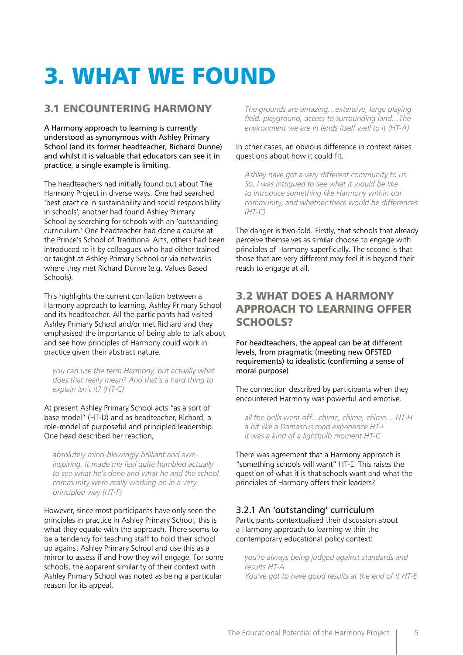# 3. WHAT WE FOUND

## 3.1 ENCOUNTERING HARMONY

A Harmony approach to learning is currently understood as synonymous with Ashley Primary School (and its former headteacher, Richard Dunne) and whilst it is valuable that educators can see it in practice, a single example is limiting.

The headteachers had initially found out about The Harmony Project in diverse ways. One had searched 'best practice in sustainability and social responsibility in schools', another had found Ashley Primary School by searching for schools with an 'outstanding curriculum.' One headteacher had done a course at the Prince's School of Traditional Arts, others had been introduced to it by colleagues who had either trained or taught at Ashley Primary School or via networks where they met Richard Dunne (e.g. Values Based Schools).

This highlights the current conflation between a Harmony approach to learning, Ashley Primary School and its headteacher. All the participants had visited Ashley Primary School and/or met Richard and they emphasised the importance of being able to talk about and see how principles of Harmony could work in practice given their abstract nature.

*you can use the term Harmony, but actually what does that really mean? And that's a hard thing to explain isn't it? (HT-C)*

At present Ashley Primary School acts "as a sort of base model" (HT-D) and as headteacher, Richard, a role-model of purposeful and principled leadership. One head described her reaction,

*absolutely mind-blowingly brilliant and aweinspiring. It made me feel quite humbled actually to see what he's done and what he and the school community were really working on in a very principled way (HT-F)*

However, since most participants have only seen the principles in practice in Ashley Primary School, this is what they equate with the approach. There seems to be a tendency for teaching staff to hold their school up against Ashley Primary School and use this as a mirror to assess if and how they will engage. For some schools, the apparent similarity of their context with Ashley Primary School was noted as being a particular reason for its appeal.

*The grounds are amazing…extensive, large playing field, playground, access to surrounding land…The environment we are in lends itself well to it (HT-A)*

#### In other cases, an obvious difference in context raises questions about how it could fit.

*Ashley have got a very different community to us. So, I was intrigued to see what it would be like to introduce something like Harmony within our community, and whether there would be differences (HT-C)*

The danger is two-fold. Firstly, that schools that already perceive themselves as similar choose to engage with principles of Harmony superficially. The second is that those that are very different may feel it is beyond their reach to engage at all.

## 3.2 WHAT DOES A HARMONY APPROACH TO LEARNING OFFER SCHOOLS?

For headteachers, the appeal can be at different levels, from pragmatic (meeting new OFSTED requirements) to idealistic (confirming a sense of moral purpose)

The connection described by participants when they encountered Harmony was powerful and emotive.

*all the bells went off…chime, chime, chime… HT-H a bit like a Damascus road experience HT-I it was a kind of a lightbulb moment HT-C*

There was agreement that a Harmony approach is "something schools will want" HT-E. This raises the question of what it is that schools want and what the principles of Harmony offers their leaders?

#### 3.2.1 An 'outstanding' curriculum

Participants contextualised their discussion about a Harmony approach to learning within the contemporary educational policy context:

*you're always being judged against standards and results HT-A You've got to have good results at the end of it HT-E*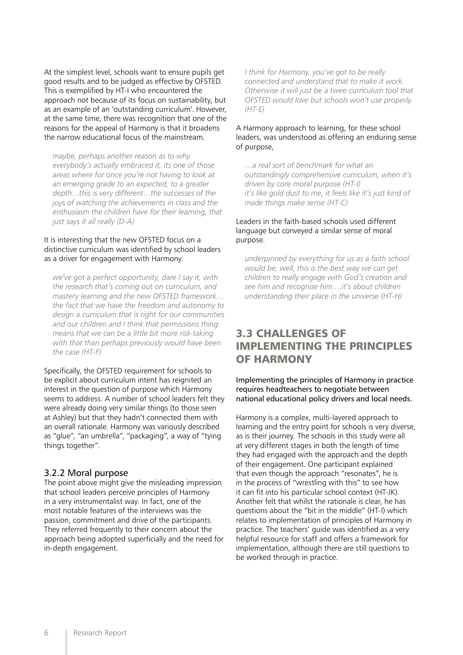At the simplest level, schools want to ensure pupils get good results and to be judged as effective by OFSTED. This is exemplified by HT-I who encountered the approach not because of its focus on sustainability, but as an example of an 'outstanding curriculum'. However, at the same time, there was recognition that one of the reasons for the appeal of Harmony is that it broadens the narrow educational focus of the mainstream.

*maybe, perhaps another reason as to why everybody's actually embraced it, its one of those areas where for once you're not having to look at an emerging grade to an expected, to a greater depth…this is very different…the successes of the joys of watching the achievements in class and the enthusiasm the children have for their learning, that just says it all really (D-A)*

#### It is interesting that the new OFSTED focus on a distinctive curriculum was identified by school leaders as a driver for engagement with Harmony.

*we've got a perfect opportunity, dare I say it, with the research that's coming out on curriculum, and mastery learning and the new OFSTED framework… the fact that we have the freedom and autonomy to design a curriculum that is right for our communities and our children and I think that permissions thing means that we can be a little bit more risk-taking with that than perhaps previously would have been the case (HT-F)*

Specifically, the OFSTED requirement for schools to be explicit about curriculum intent has reignited an interest in the question of purpose which Harmony seems to address. A number of school leaders felt they were already doing very similar things (to those seen at Ashley) but that they hadn't connected them with an overall rationale. Harmony was variously described as "glue", "an umbrella", "packaging", a way of "tying things together".

#### 3.2.2 Moral purpose

The point above might give the misleading impression that school leaders perceive principles of Harmony in a very instrumentalist way. In fact, one of the most notable features of the interviews was the passion, commitment and drive of the participants. They referred frequently to their concern about the approach being adopted superficially and the need for in-depth engagement.

*I think for Harmony, you've got to be really connected and understand that to make it work. Otherwise it will just be a twee curriculum tool that OFSTED would love but schools won't use properly. (HT-E)*

#### A Harmony approach to learning, for these school leaders, was understood as offering an enduring sense of purpose,

*…a real sort of benchmark for what an outstandingly comprehensive curriculum, when it's driven by core moral purpose (HT-I) it's like gold dust to me, it feels like it's just kind of made things make sense (HT-C)*

#### Leaders in the faith-based schools used different language but conveyed a similar sense of moral purpose.

*underpinned by everything for us as a faith school would be, well, this is the best way we can get children to really engage with God's creation and see him and recognise him….it's about children understanding their place in the universe (HT-H)*

## 3.3 CHALLENGES OF IMPLEMENTING THE PRINCIPLES OF HARMONY

Implementing the principles of Harmony in practice requires headteachers to negotiate between national educational policy drivers and local needs.

Harmony is a complex, multi-layered approach to learning and the entry point for schools is very diverse, as is their journey. The schools in this study were all at very different stages in both the length of time they had engaged with the approach and the depth of their engagement. One participant explained that even though the approach "resonates", he is in the process of "wrestling with this" to see how it can fit into his particular school context (HT-JK). Another felt that whilst the rationale is clear, he has questions about the "bit in the middle" (HT-I) which relates to implementation of principles of Harmony in practice. The teachers' guide was identified as a very helpful resource for staff and offers a framework for implementation, although there are still questions to be worked through in practice.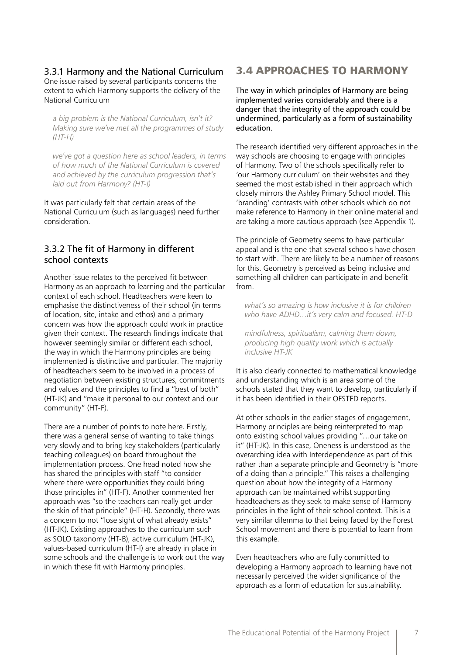3.3.1 Harmony and the National Curriculum One issue raised by several participants concerns the extent to which Harmony supports the delivery of the National Curriculum

*a big problem is the National Curriculum, isn't it? Making sure we've met all the programmes of study (HT-H)*

*we've got a question here as school leaders, in terms of how much of the National Curriculum is covered and achieved by the curriculum progression that's laid out from Harmony? (HT-I)*

It was particularly felt that certain areas of the National Curriculum (such as languages) need further consideration.

#### 3.3.2 The fit of Harmony in different school contexts

Another issue relates to the perceived fit between Harmony as an approach to learning and the particular context of each school. Headteachers were keen to emphasise the distinctiveness of their school (in terms of location, site, intake and ethos) and a primary concern was how the approach could work in practice given their context. The research findings indicate that however seemingly similar or different each school, the way in which the Harmony principles are being implemented is distinctive and particular. The majority of headteachers seem to be involved in a process of negotiation between existing structures, commitments and values and the principles to find a "best of both" (HT-JK) and "make it personal to our context and our community" (HT-F).

There are a number of points to note here. Firstly, there was a general sense of wanting to take things very slowly and to bring key stakeholders (particularly teaching colleagues) on board throughout the implementation process. One head noted how she has shared the principles with staff "to consider where there were opportunities they could bring those principles in" (HT-F). Another commented her approach was "so the teachers can really get under the skin of that principle" (HT-H). Secondly, there was a concern to not "lose sight of what already exists" (HT-JK). Existing approaches to the curriculum such as SOLO taxonomy (HT-B), active curriculum (HT-JK), values-based curriculum (HT-I) are already in place in some schools and the challenge is to work out the way in which these fit with Harmony principles.

### 3.4 APPROACHES TO HARMONY

The way in which principles of Harmony are being implemented varies considerably and there is a danger that the integrity of the approach could be undermined, particularly as a form of sustainability education.

The research identified very different approaches in the way schools are choosing to engage with principles of Harmony. Two of the schools specifically refer to 'our Harmony curriculum' on their websites and they seemed the most established in their approach which closely mirrors the Ashley Primary School model. This 'branding' contrasts with other schools which do not make reference to Harmony in their online material and are taking a more cautious approach (see Appendix 1).

The principle of Geometry seems to have particular appeal and is the one that several schools have chosen to start with. There are likely to be a number of reasons for this. Geometry is perceived as being inclusive and something all children can participate in and benefit from.

*what's so amazing is how inclusive it is for children who have ADHD…it's very calm and focused. HT-D*

*mindfulness, spiritualism, calming them down, producing high quality work which is actually inclusive HT-JK*

It is also clearly connected to mathematical knowledge and understanding which is an area some of the schools stated that they want to develop, particularly if it has been identified in their OFSTED reports.

At other schools in the earlier stages of engagement, Harmony principles are being reinterpreted to map onto existing school values providing "…our take on it" (HT-JK). In this case, Oneness is understood as the overarching idea with Interdependence as part of this rather than a separate principle and Geometry is "more of a doing than a principle." This raises a challenging question about how the integrity of a Harmony approach can be maintained whilst supporting headteachers as they seek to make sense of Harmony principles in the light of their school context. This is a very similar dilemma to that being faced by the Forest School movement and there is potential to learn from this example.

Even headteachers who are fully committed to developing a Harmony approach to learning have not necessarily perceived the wider significance of the approach as a form of education for sustainability.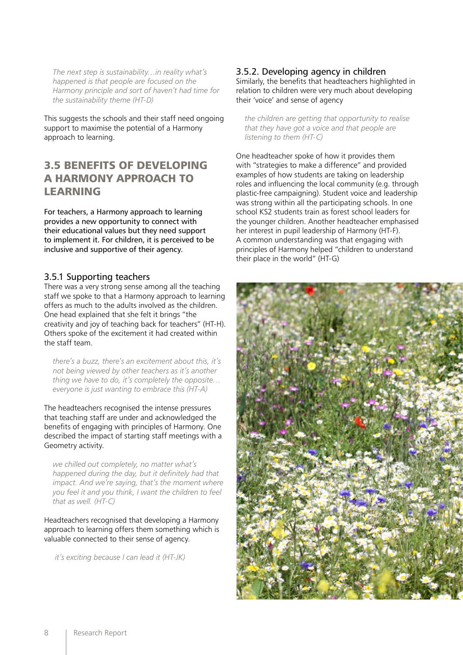*The next step is sustainability…in reality what's happened is that people are focused on the Harmony principle and sort of haven't had time for the sustainability theme (HT-D)*

This suggests the schools and their staff need ongoing support to maximise the potential of a Harmony approach to learning.

## 3.5 BENEFITS OF DEVELOPING A HARMONY APPROACH TO LEARNING

For teachers, a Harmony approach to learning provides a new opportunity to connect with their educational values but they need support to implement it. For children, it is perceived to be inclusive and supportive of their agency.

#### 3.5.1 Supporting teachers

There was a very strong sense among all the teaching staff we spoke to that a Harmony approach to learning offers as much to the adults involved as the children. One head explained that she felt it brings "the creativity and joy of teaching back for teachers" (HT-H). Others spoke of the excitement it had created within the staff team.

*there's a buzz, there's an excitement about this, it's not being viewed by other teachers as it's another thing we have to do, it's completely the opposite… everyone is just wanting to embrace this (HT-A)*

The headteachers recognised the intense pressures that teaching staff are under and acknowledged the benefits of engaging with principles of Harmony. One described the impact of starting staff meetings with a Geometry activity.

*we chilled out completely, no matter what's happened during the day, but it definitely had that impact. And we're saying, that's the moment where you feel it and you think, I want the children to feel that as well. (HT-C)*

Headteachers recognised that developing a Harmony approach to learning offers them something which is valuable connected to their sense of agency.

 *it's exciting because I can lead it (HT-JK)*

#### 3.5.2. Developing agency in children

Similarly, the benefits that headteachers highlighted in relation to children were very much about developing their 'voice' and sense of agency

*the children are getting that opportunity to realise that they have got a voice and that people are listening to them (HT-C)*

One headteacher spoke of how it provides them with "strategies to make a difference" and provided examples of how students are taking on leadership roles and influencing the local community (e.g. through plastic-free campaigning). Student voice and leadership was strong within all the participating schools. In one school KS2 students train as forest school leaders for the younger children. Another headteacher emphasised her interest in pupil leadership of Harmony (HT-F). A common understanding was that engaging with principles of Harmony helped "children to understand their place in the world" (HT-G)

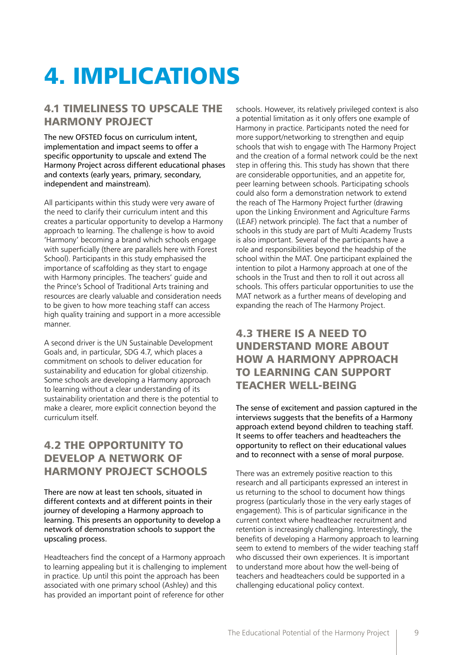# 4. IMPLICATIONS

### 4.1 TIMELINESS TO UPSCALE THE HARMONY PROJECT

The new OFSTED focus on curriculum intent, implementation and impact seems to offer a specific opportunity to upscale and extend The Harmony Project across different educational phases and contexts (early years, primary, secondary, independent and mainstream).

All participants within this study were very aware of the need to clarify their curriculum intent and this creates a particular opportunity to develop a Harmony approach to learning. The challenge is how to avoid 'Harmony' becoming a brand which schools engage with superficially (there are parallels here with Forest School). Participants in this study emphasised the importance of scaffolding as they start to engage with Harmony principles. The teachers' guide and the Prince's School of Traditional Arts training and resources are clearly valuable and consideration needs to be given to how more teaching staff can access high quality training and support in a more accessible manner.

A second driver is the UN Sustainable Development Goals and, in particular, SDG 4.7, which places a commitment on schools to deliver education for sustainability and education for global citizenship. Some schools are developing a Harmony approach to learning without a clear understanding of its sustainability orientation and there is the potential to make a clearer, more explicit connection beyond the curriculum itself.

## 4.2 THE OPPORTUNITY TO DEVELOP A NETWORK OF HARMONY PROJECT SCHOOLS

There are now at least ten schools, situated in different contexts and at different points in their journey of developing a Harmony approach to learning. This presents an opportunity to develop a network of demonstration schools to support the upscaling process.

Headteachers find the concept of a Harmony approach to learning appealing but it is challenging to implement in practice. Up until this point the approach has been associated with one primary school (Ashley) and this has provided an important point of reference for other

schools. However, its relatively privileged context is also a potential limitation as it only offers one example of Harmony in practice. Participants noted the need for more support/networking to strengthen and equip schools that wish to engage with The Harmony Project and the creation of a formal network could be the next step in offering this. This study has shown that there are considerable opportunities, and an appetite for, peer learning between schools. Participating schools could also form a demonstration network to extend the reach of The Harmony Project further (drawing upon the Linking Environment and Agriculture Farms (LEAF) network principle). The fact that a number of schools in this study are part of Multi Academy Trusts is also important. Several of the participants have a role and responsibilities beyond the headship of the school within the MAT. One participant explained the intention to pilot a Harmony approach at one of the schools in the Trust and then to roll it out across all schools. This offers particular opportunities to use the MAT network as a further means of developing and expanding the reach of The Harmony Project.

## 4.3 THERE IS A NEED TO UNDERSTAND MORE ABOUT HOW A HARMONY APPROACH TO LEARNING CAN SUPPORT TEACHER WELL-BEING

The sense of excitement and passion captured in the interviews suggests that the benefits of a Harmony approach extend beyond children to teaching staff. It seems to offer teachers and headteachers the opportunity to reflect on their educational values and to reconnect with a sense of moral purpose.

There was an extremely positive reaction to this research and all participants expressed an interest in us returning to the school to document how things progress (particularly those in the very early stages of engagement). This is of particular significance in the current context where headteacher recruitment and retention is increasingly challenging. Interestingly, the benefits of developing a Harmony approach to learning seem to extend to members of the wider teaching staff who discussed their own experiences. It is important to understand more about how the well-being of teachers and headteachers could be supported in a challenging educational policy context.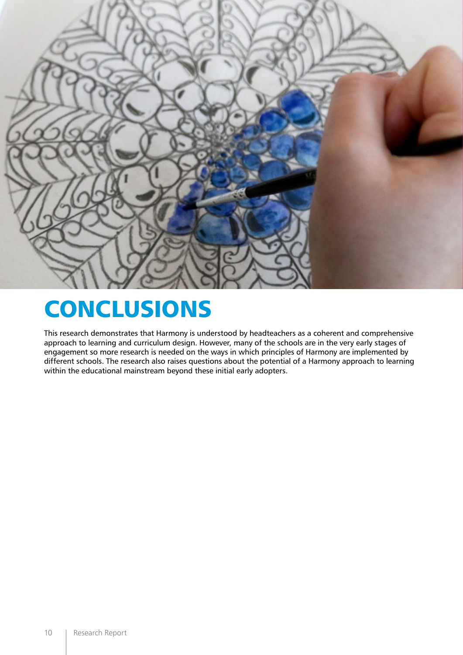

## CONCLUSIONS

This research demonstrates that Harmony is understood by headteachers as a coherent and comprehensive approach to learning and curriculum design. However, many of the schools are in the very early stages of engagement so more research is needed on the ways in which principles of Harmony are implemented by different schools. The research also raises questions about the potential of a Harmony approach to learning within the educational mainstream beyond these initial early adopters.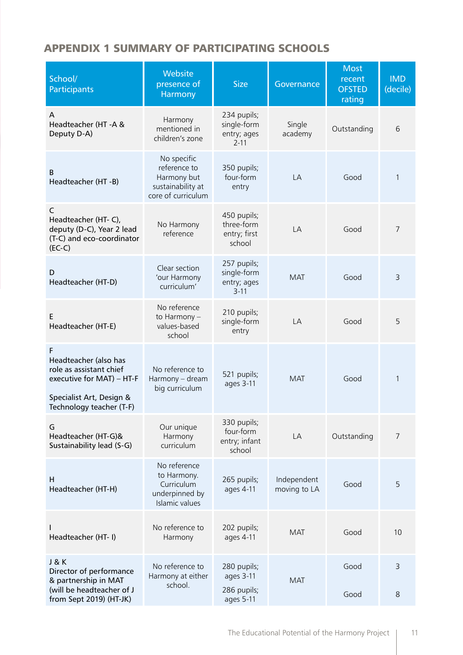## APPENDIX 1 SUMMARY OF PARTICIPATING SCHOOLS

| School/<br><b>Participants</b>                                                                                                             | Website<br>presence of<br>Harmony                                                     | <b>Size</b>                                           | Governance                  | <b>Most</b><br>recent<br><b>OFSTED</b><br>rating | <b>IMD</b><br>(decile) |
|--------------------------------------------------------------------------------------------------------------------------------------------|---------------------------------------------------------------------------------------|-------------------------------------------------------|-----------------------------|--------------------------------------------------|------------------------|
| A<br>Headteacher (HT-A &<br>Deputy D-A)                                                                                                    | Harmony<br>mentioned in<br>children's zone                                            | 234 pupils;<br>single-form<br>entry; ages<br>$2 - 11$ | Single<br>academy           | Outstanding                                      | 6                      |
| B<br>Headteacher (HT-B)                                                                                                                    | No specific<br>reference to<br>Harmony but<br>sustainability at<br>core of curriculum | 350 pupils;<br>four-form<br>entry                     | LA                          | Good                                             | 1                      |
| C<br>Headteacher (HT-C),<br>deputy (D-C), Year 2 lead<br>(T-C) and eco-coordinator<br>$(EC-C)$                                             | No Harmony<br>reference                                                               | 450 pupils;<br>three-form<br>entry; first<br>school   | LA                          | Good                                             | 7                      |
| D<br>Headteacher (HT-D)                                                                                                                    | Clear section<br>'our Harmony<br>curriculum'                                          | 257 pupils;<br>single-form<br>entry; ages<br>$3 - 11$ | <b>MAT</b>                  | Good                                             | 3                      |
| E<br>Headteacher (HT-E)                                                                                                                    | No reference<br>to Harmony -<br>values-based<br>school                                | 210 pupils;<br>single-form<br>entry                   | LA                          | Good                                             | 5                      |
| F<br>Headteacher (also has<br>role as assistant chief<br>executive for MAT) - HT-F<br>Specialist Art, Design &<br>Technology teacher (T-F) | No reference to<br>Harmony - dream<br>big curriculum                                  | 521 pupils;<br>ages 3-11                              | <b>MAT</b>                  | Good                                             | 1                      |
| G<br>Headteacher (HT-G)&<br>Sustainability lead (S-G)                                                                                      | Our unique<br>Harmony<br>curriculum                                                   | 330 pupils;<br>four-form<br>entry; infant<br>school   | LA                          | Outstanding                                      | 7                      |
| H<br>Headteacher (HT-H)                                                                                                                    | No reference<br>to Harmony.<br>Curriculum<br>underpinned by<br>Islamic values         | 265 pupils;<br>ages 4-11                              | Independent<br>moving to LA | Good                                             | 5                      |
| Headteacher (HT- I)                                                                                                                        | No reference to<br>Harmony                                                            | 202 pupils;<br>ages 4-11                              | <b>MAT</b>                  | Good                                             | 10                     |
| <b>J&amp;K</b><br>Director of performance<br>& partnership in MAT<br>(will be headteacher of J<br>from Sept 2019) (HT-JK)                  | No reference to<br>Harmony at either<br>school.                                       | 280 pupils;<br>ages 3-11<br>286 pupils;<br>ages 5-11  | <b>MAT</b>                  | Good<br>Good                                     | 3<br>8                 |